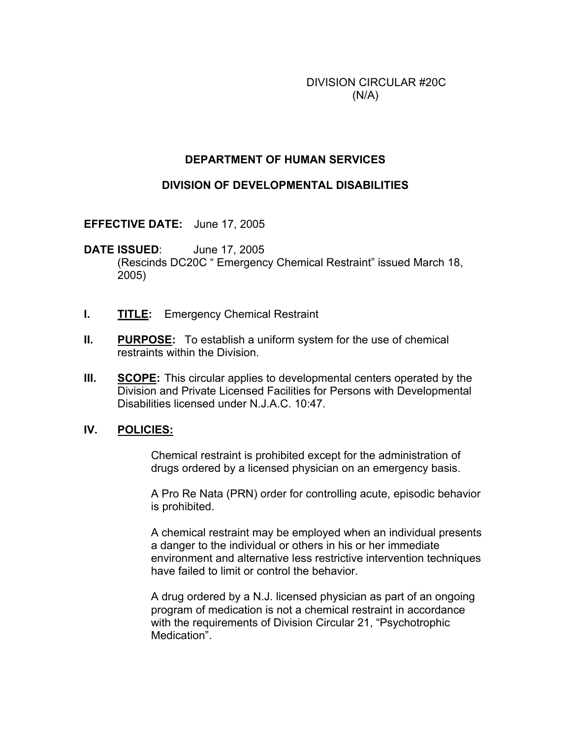DIVISION CIRCULAR #20C  $(N/A)$ 

## **DEPARTMENT OF HUMAN SERVICES**

### **DIVISION OF DEVELOPMENTAL DISABILITIES**

**EFFECTIVE DATE:** June 17, 2005

**DATE ISSUED**: June 17, 2005 (Rescinds DC20C " Emergency Chemical Restraint" issued March 18, 2005)

- **I. TITLE:** Emergency Chemical Restraint
- **II. PURPOSE:** To establish a uniform system for the use of chemical restraints within the Division.
- **III. SCOPE:** This circular applies to developmental centers operated by the Division and Private Licensed Facilities for Persons with Developmental Disabilities licensed under N.J.A.C. 10:47.

#### **IV. POLICIES:**

 Chemical restraint is prohibited except for the administration of drugs ordered by a licensed physician on an emergency basis.

 A Pro Re Nata (PRN) order for controlling acute, episodic behavior is prohibited.

 A chemical restraint may be employed when an individual presents a danger to the individual or others in his or her immediate environment and alternative less restrictive intervention techniques have failed to limit or control the behavior.

 A drug ordered by a N.J. licensed physician as part of an ongoing program of medication is not a chemical restraint in accordance with the requirements of Division Circular 21, "Psychotrophic Medication".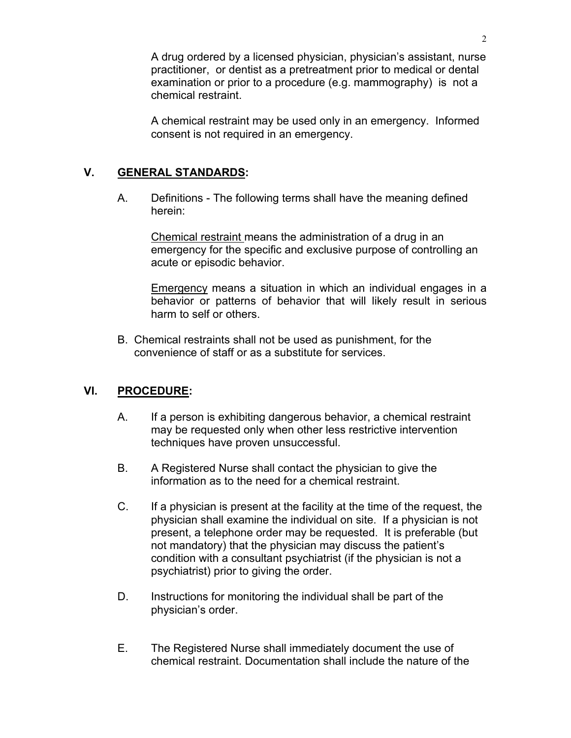A drug ordered by a licensed physician, physician's assistant, nurse practitioner, or dentist as a pretreatment prior to medical or dental examination or prior to a procedure (e.g. mammography) is not a chemical restraint.

 A chemical restraint may be used only in an emergency. Informed consent is not required in an emergency.

# **V. GENERAL STANDARDS:**

 A. Definitions - The following terms shall have the meaning defined herein:

 Chemical restraint means the administration of a drug in an emergency for the specific and exclusive purpose of controlling an acute or episodic behavior.

Emergency means a situation in which an individual engages in a behavior or patterns of behavior that will likely result in serious harm to self or others.

B. Chemical restraints shall not be used as punishment, for the convenience of staff or as a substitute for services.

## **VI. PROCEDURE:**

- A. If a person is exhibiting dangerous behavior, a chemical restraint may be requested only when other less restrictive intervention techniques have proven unsuccessful.
- B. A Registered Nurse shall contact the physician to give the information as to the need for a chemical restraint.
- C. If a physician is present at the facility at the time of the request, the physician shall examine the individual on site. If a physician is not present, a telephone order may be requested. It is preferable (but not mandatory) that the physician may discuss the patient's condition with a consultant psychiatrist (if the physician is not a psychiatrist) prior to giving the order.
- D. Instructions for monitoring the individual shall be part of the physician's order.
- E. The Registered Nurse shall immediately document the use of chemical restraint. Documentation shall include the nature of the